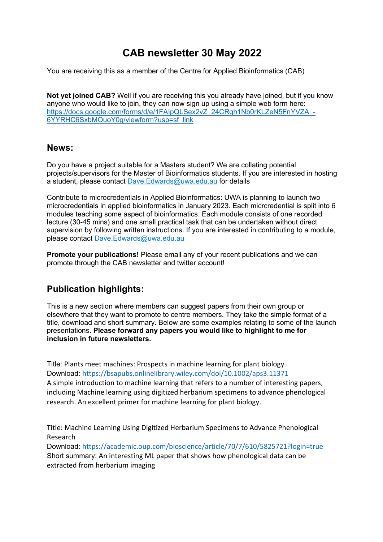# **CAB newsletter 30 May 2022**

You are receiving this as a member of the Centre for Applied Bioinformatics (CAB)

**Not yet joined CAB?** Well if you are receiving this you already have joined, but if you know anyone who would like to join, they can now sign up using a simple web form here: https://docs.google.com/forms/d/e/1FAIpQLSex2vZ\_24CRgh1Nb0rKLZeN5FnYVZA\_-6YYRHC6SxbMOuoY0g/viewform?usp=sf\_link

### **News:**

Do you have a project suitable for a Masters student? We are collating potential projects/supervisors for the Master of Bioinformatics students. If you are interested in hosting a student, please contact Dave. Edwards@uwa.edu.au for details

Contribute to microcredentials in Applied Bioinformatics: UWA is planning to launch two microcredentials in applied bioinformatics in January 2023. Each micrcredential is split into 6 modules teaching some aspect of bioinformatics. Each module consists of one recorded lecture (30-45 mins) and one small practical task that can be undertaken without direct supervision by following written instructions. If you are interested in contributing to a module, please contact Dave.Edwards@uwa.edu.au

**Promote your publications!** Please email any of your recent publications and we can promote through the CAB newsletter and twitter account!

## **Publication highlights:**

This is a new section where members can suggest papers from their own group or elsewhere that they want to promote to centre members. They take the simple format of a title, download and short summary. Below are some examples relating to some of the launch presentations. **Please forward any papers you would like to highlight to me for inclusion in future newsletters.**

Title: Plants meet machines: Prospects in machine learning for plant biology Download: https://bsapubs.onlinelibrary.wiley.com/doi/10.1002/aps3.11371 A simple introduction to machine learning that refers to a number of interesting papers, including Machine learning using digitized herbarium specimens to advance phenological research. An excellent primer for machine learning for plant biology.

Title: Machine Learning Using Digitized Herbarium Specimens to Advance Phenological Research

Download: https://academic.oup.com/bioscience/article/70/7/610/5825721?login=true Short summary: An interesting ML paper that shows how phenological data can be extracted from herbarium imaging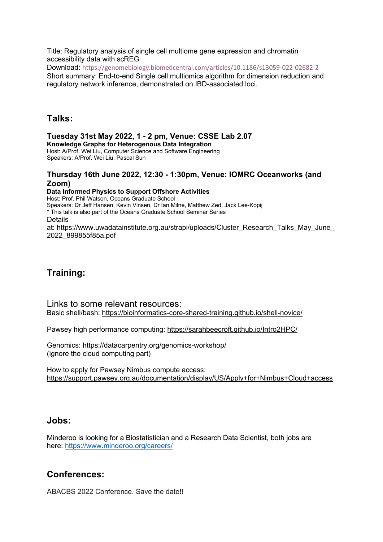Title: Regulatory analysis of single cell multiome gene expression and chromatin accessibility data with scREG Download: https://genomebiology.biomedcentral.com/articles/10.1186/s13059-022-02682-2 Short summary: End-to-end Single cell multiomics algorithm for dimension reduction and regulatory network inference, demonstrated on IBD-associated loci.

## **Talks:**

**Tuesday 31st May 2022, 1 - 2 pm, Venue: CSSE Lab 2.07 Knowledge Graphs for Heterogenous Data Integration** Host: A/Prof. Wei Liu, Computer Science and Software Engineering Speakers: A/Prof. Wei Liu, Pascal Sun

#### **Thursday 16th June 2022, 12:30 - 1:30pm, Venue: IOMRC Oceanworks (and Zoom)**

**Data Informed Physics to Support Offshore Activities** Host: Prof. Phil Watson, Oceans Graduate School Speakers: Dr Jeff Hansen, Kevin Vinsen, Dr Ian Milne, Matthew Zed, Jack Lee-Kopij \* This talk is also part of the Oceans Graduate School Seminar Series Details at: https://www.uwadatainstitute.org.au/strapi/uploads/Cluster\_Research\_Talks\_May\_June\_ 2022\_899855f85a.pdf

## **Training:**

Links to some relevant resources: Basic shell/bash: https://bioinformatics-core-shared-training.github.io/shell-novice/

Pawsey high performance computing: https://sarahbeecroft.github.io/Intro2HPC/

Genomics: https://datacarpentry.org/genomics-workshop/ (ignore the cloud computing part)

How to apply for Pawsey Nimbus compute access: https://support.pawsey.org.au/documentation/display/US/Apply+for+Nimbus+Cloud+access

## **Jobs:**

Minderoo is looking for a Biostatistician and a Research Data Scientist, both jobs are here: https://www.minderoo.org/careers/

## **Conferences:**

ABACBS 2022 Conference. Save the date!!